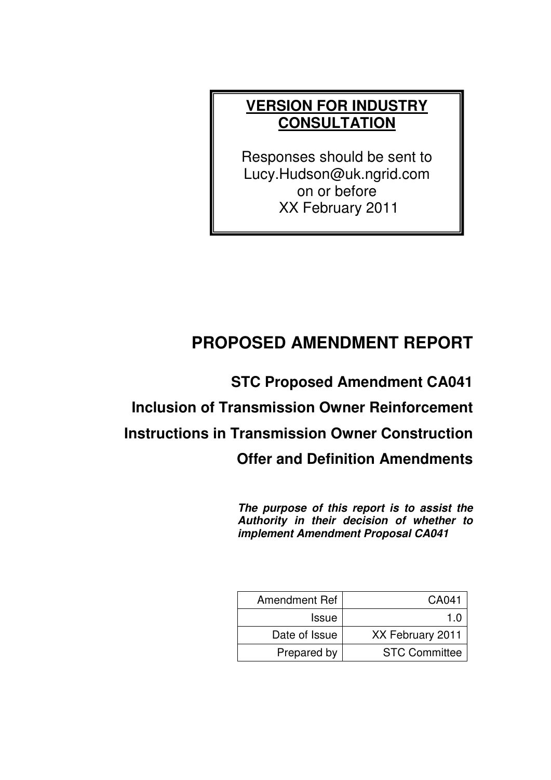# **VERSION FOR INDUSTRY CONSULTATION**

Responses should be sent to Lucy.Hudson@uk.ngrid.com on or before XX February 2011

# **PROPOSED AMENDMENT REPORT**

**STC Proposed Amendment CA041 Inclusion of Transmission Owner Reinforcement Instructions in Transmission Owner Construction Offer and Definition Amendments** 

> **The purpose of this report is to assist the Authority in their decision of whether to implement Amendment Proposal CA041**

| <b>Amendment Ref</b> | CA041                |
|----------------------|----------------------|
| <b>Issue</b>         | 1 N                  |
| Date of Issue        | XX February 2011     |
| Prepared by          | <b>STC Committee</b> |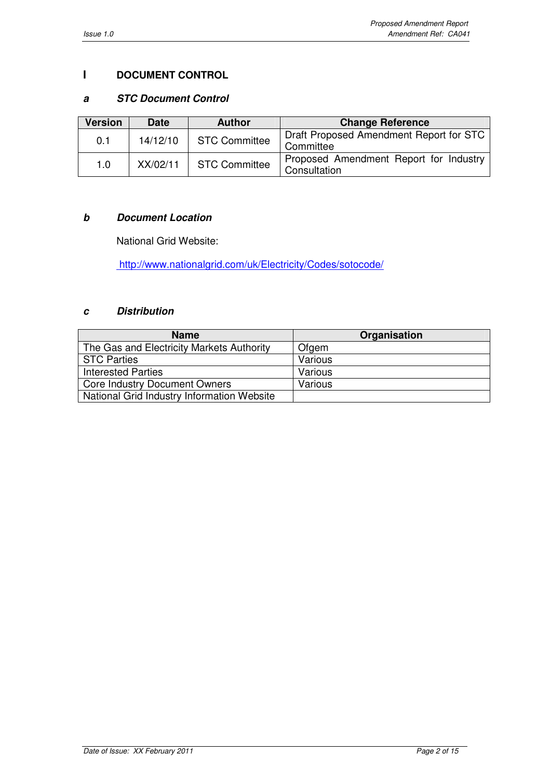### **I DOCUMENT CONTROL**

### **a STC Document Control**

| <b>Version</b> | <b>Date</b> | <b>Author</b>        | <b>Change Reference</b>                                |
|----------------|-------------|----------------------|--------------------------------------------------------|
| 0.1            | 14/12/10    | <b>STC Committee</b> | Draft Proposed Amendment Report for STC<br>Committee   |
| 1.0            | XX/02/11    | <b>STC Committee</b> | Proposed Amendment Report for Industry<br>Consultation |

### **b Document Location**

National Grid Website:

http://www.nationalgrid.com/uk/Electricity/Codes/sotocode/

# **c Distribution**

| <b>Name</b>                                | Organisation |
|--------------------------------------------|--------------|
| The Gas and Electricity Markets Authority  | Ofgem        |
| <b>STC Parties</b>                         | Various      |
| <b>Interested Parties</b>                  | Various      |
| <b>Core Industry Document Owners</b>       | Various      |
| National Grid Industry Information Website |              |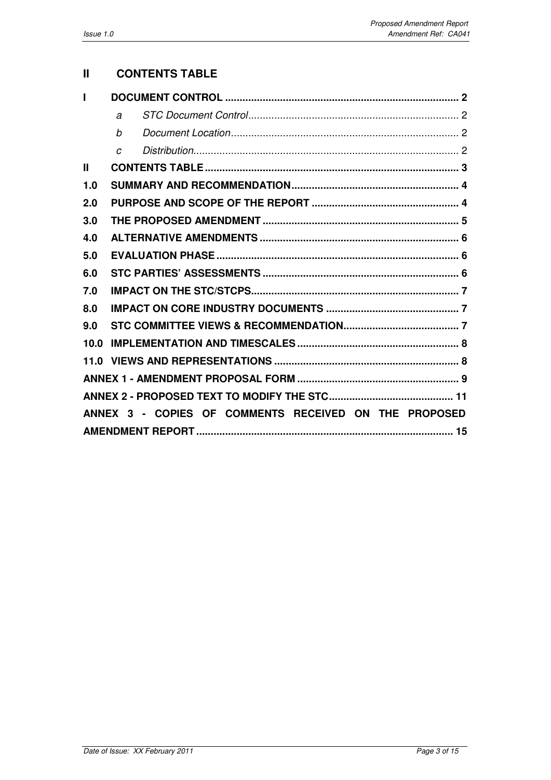# **II CONTENTS TABLE**

|      | $\overline{a}$ |                                                       |  |
|------|----------------|-------------------------------------------------------|--|
|      | h              |                                                       |  |
|      | $\overline{C}$ |                                                       |  |
| Ш    |                |                                                       |  |
| 1.0  |                |                                                       |  |
| 2.0  |                |                                                       |  |
| 3.0  |                |                                                       |  |
| 4.0  |                |                                                       |  |
| 5.0  |                |                                                       |  |
| 6.0  |                |                                                       |  |
| 7.0  |                |                                                       |  |
| 8.0  |                |                                                       |  |
| 9.0  |                |                                                       |  |
| 10.0 |                |                                                       |  |
| 11.0 |                |                                                       |  |
|      |                |                                                       |  |
|      |                |                                                       |  |
|      |                | ANNEX 3 - COPIES OF COMMENTS RECEIVED ON THE PROPOSED |  |
|      |                |                                                       |  |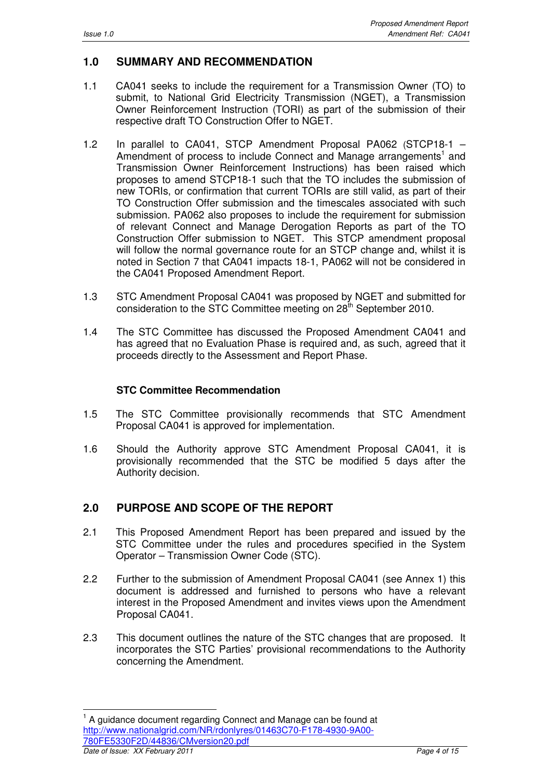$\overline{a}$ 

# **1.0 SUMMARY AND RECOMMENDATION**

- 1.1 CA041 seeks to include the requirement for a Transmission Owner (TO) to submit, to National Grid Electricity Transmission (NGET), a Transmission Owner Reinforcement Instruction (TORI) as part of the submission of their respective draft TO Construction Offer to NGET.
- 1.2 In parallel to CA041, STCP Amendment Proposal PA062 (STCP18-1 Amendment of process to include Connect and Manage arrangements<sup>1</sup> and Transmission Owner Reinforcement Instructions) has been raised which proposes to amend STCP18-1 such that the TO includes the submission of new TORIs, or confirmation that current TORIs are still valid, as part of their TO Construction Offer submission and the timescales associated with such submission. PA062 also proposes to include the requirement for submission of relevant Connect and Manage Derogation Reports as part of the TO Construction Offer submission to NGET. This STCP amendment proposal will follow the normal governance route for an STCP change and, whilst it is noted in Section 7 that CA041 impacts 18-1, PA062 will not be considered in the CA041 Proposed Amendment Report.
- 1.3 STC Amendment Proposal CA041 was proposed by NGET and submitted for consideration to the STC Committee meeting on 28<sup>th</sup> September 2010.
- 1.4 The STC Committee has discussed the Proposed Amendment CA041 and has agreed that no Evaluation Phase is required and, as such, agreed that it proceeds directly to the Assessment and Report Phase.

### **STC Committee Recommendation**

- 1.5 The STC Committee provisionally recommends that STC Amendment Proposal CA041 is approved for implementation.
- 1.6 Should the Authority approve STC Amendment Proposal CA041, it is provisionally recommended that the STC be modified 5 days after the Authority decision.

# **2.0 PURPOSE AND SCOPE OF THE REPORT**

- 2.1 This Proposed Amendment Report has been prepared and issued by the STC Committee under the rules and procedures specified in the System Operator – Transmission Owner Code (STC).
- 2.2 Further to the submission of Amendment Proposal CA041 (see Annex 1) this document is addressed and furnished to persons who have a relevant interest in the Proposed Amendment and invites views upon the Amendment Proposal CA041.
- 2.3 This document outlines the nature of the STC changes that are proposed. It incorporates the STC Parties' provisional recommendations to the Authority concerning the Amendment.

Date of Issue: XX February 2011 **Page 4 of 15** 1 A guidance document regarding Connect and Manage can be found at http://www.nationalgrid.com/NR/rdonlyres/01463C70-F178-4930-9A00- 780FE5330F2D/44836/CMversion20.pdf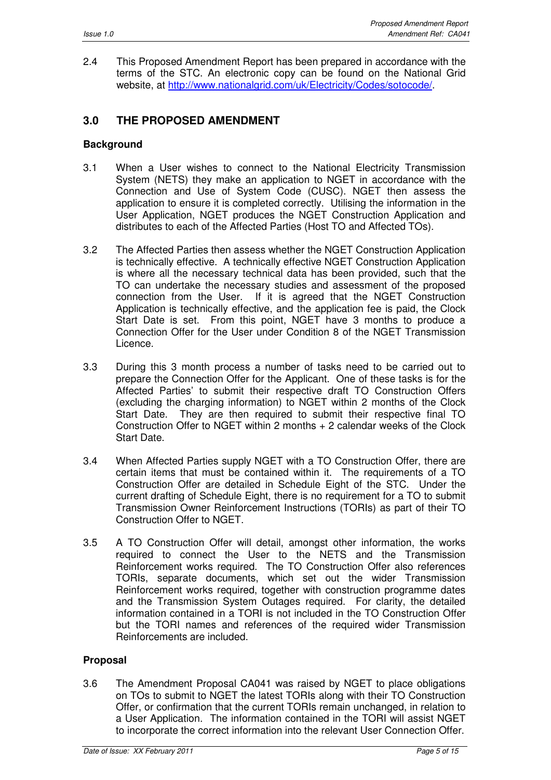2.4 This Proposed Amendment Report has been prepared in accordance with the terms of the STC. An electronic copy can be found on the National Grid website, at http://www.nationalgrid.com/uk/Electricity/Codes/sotocode/.

# **3.0 THE PROPOSED AMENDMENT**

#### **Background**

- 3.1 When a User wishes to connect to the National Electricity Transmission System (NETS) they make an application to NGET in accordance with the Connection and Use of System Code (CUSC). NGET then assess the application to ensure it is completed correctly. Utilising the information in the User Application, NGET produces the NGET Construction Application and distributes to each of the Affected Parties (Host TO and Affected TOs).
- 3.2 The Affected Parties then assess whether the NGET Construction Application is technically effective. A technically effective NGET Construction Application is where all the necessary technical data has been provided, such that the TO can undertake the necessary studies and assessment of the proposed connection from the User. If it is agreed that the NGET Construction Application is technically effective, and the application fee is paid, the Clock Start Date is set. From this point, NGET have 3 months to produce a Connection Offer for the User under Condition 8 of the NGET Transmission Licence.
- 3.3 During this 3 month process a number of tasks need to be carried out to prepare the Connection Offer for the Applicant. One of these tasks is for the Affected Parties' to submit their respective draft TO Construction Offers (excluding the charging information) to NGET within 2 months of the Clock Start Date. They are then required to submit their respective final TO Construction Offer to NGET within 2 months + 2 calendar weeks of the Clock Start Date.
- 3.4 When Affected Parties supply NGET with a TO Construction Offer, there are certain items that must be contained within it. The requirements of a TO Construction Offer are detailed in Schedule Eight of the STC. Under the current drafting of Schedule Eight, there is no requirement for a TO to submit Transmission Owner Reinforcement Instructions (TORIs) as part of their TO Construction Offer to NGET.
- 3.5 A TO Construction Offer will detail, amongst other information, the works required to connect the User to the NETS and the Transmission Reinforcement works required. The TO Construction Offer also references TORIs, separate documents, which set out the wider Transmission Reinforcement works required, together with construction programme dates and the Transmission System Outages required. For clarity, the detailed information contained in a TORI is not included in the TO Construction Offer but the TORI names and references of the required wider Transmission Reinforcements are included.

#### **Proposal**

3.6 The Amendment Proposal CA041 was raised by NGET to place obligations on TOs to submit to NGET the latest TORIs along with their TO Construction Offer, or confirmation that the current TORIs remain unchanged, in relation to a User Application. The information contained in the TORI will assist NGET to incorporate the correct information into the relevant User Connection Offer.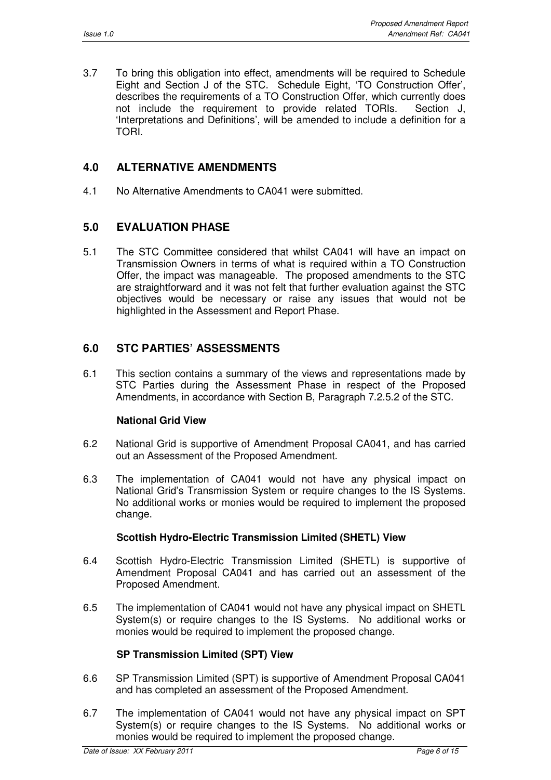3.7 To bring this obligation into effect, amendments will be required to Schedule Eight and Section J of the STC. Schedule Eight, 'TO Construction Offer', describes the requirements of a TO Construction Offer, which currently does not include the requirement to provide related TORIs. Section J, 'Interpretations and Definitions', will be amended to include a definition for a TORI.

# **4.0 ALTERNATIVE AMENDMENTS**

4.1 No Alternative Amendments to CA041 were submitted.

# **5.0 EVALUATION PHASE**

5.1 The STC Committee considered that whilst CA041 will have an impact on Transmission Owners in terms of what is required within a TO Construction Offer, the impact was manageable. The proposed amendments to the STC are straightforward and it was not felt that further evaluation against the STC objectives would be necessary or raise any issues that would not be highlighted in the Assessment and Report Phase.

# **6.0 STC PARTIES' ASSESSMENTS**

6.1 This section contains a summary of the views and representations made by STC Parties during the Assessment Phase in respect of the Proposed Amendments, in accordance with Section B, Paragraph 7.2.5.2 of the STC.

### **National Grid View**

- 6.2 National Grid is supportive of Amendment Proposal CA041, and has carried out an Assessment of the Proposed Amendment.
- 6.3 The implementation of CA041 would not have any physical impact on National Grid's Transmission System or require changes to the IS Systems. No additional works or monies would be required to implement the proposed change.

### **Scottish Hydro-Electric Transmission Limited (SHETL) View**

- 6.4 Scottish Hydro-Electric Transmission Limited (SHETL) is supportive of Amendment Proposal CA041 and has carried out an assessment of the Proposed Amendment.
- 6.5 The implementation of CA041 would not have any physical impact on SHETL System(s) or require changes to the IS Systems. No additional works or monies would be required to implement the proposed change.

#### **SP Transmission Limited (SPT) View**

- 6.6 SP Transmission Limited (SPT) is supportive of Amendment Proposal CA041 and has completed an assessment of the Proposed Amendment.
- 6.7 The implementation of CA041 would not have any physical impact on SPT System(s) or require changes to the IS Systems. No additional works or monies would be required to implement the proposed change.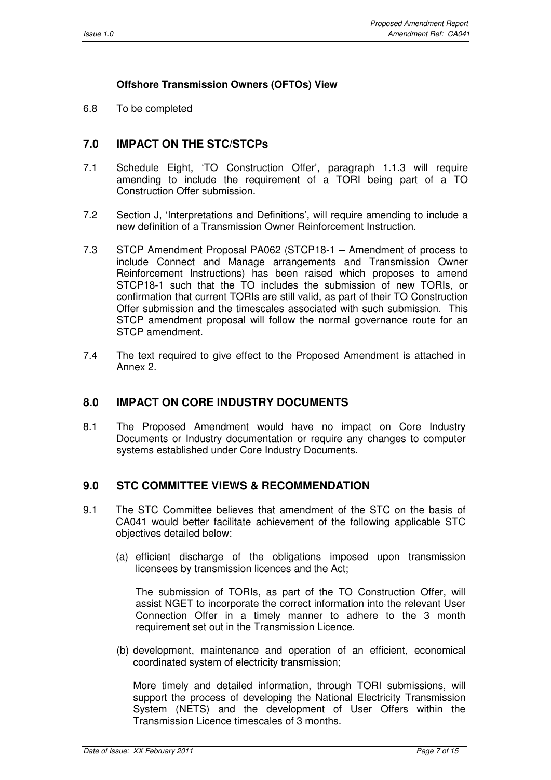### **Offshore Transmission Owners (OFTOs) View**

6.8 To be completed

# **7.0 IMPACT ON THE STC/STCPs**

- 7.1 Schedule Eight, 'TO Construction Offer', paragraph 1.1.3 will require amending to include the requirement of a TORI being part of a TO Construction Offer submission.
- 7.2 Section J, 'Interpretations and Definitions', will require amending to include a new definition of a Transmission Owner Reinforcement Instruction.
- 7.3 STCP Amendment Proposal PA062 (STCP18-1 Amendment of process to include Connect and Manage arrangements and Transmission Owner Reinforcement Instructions) has been raised which proposes to amend STCP18-1 such that the TO includes the submission of new TORIs, or confirmation that current TORIs are still valid, as part of their TO Construction Offer submission and the timescales associated with such submission. This STCP amendment proposal will follow the normal governance route for an STCP amendment.
- 7.4 The text required to give effect to the Proposed Amendment is attached in Annex 2.

## **8.0 IMPACT ON CORE INDUSTRY DOCUMENTS**

8.1 The Proposed Amendment would have no impact on Core Industry Documents or Industry documentation or require any changes to computer systems established under Core Industry Documents.

### **9.0 STC COMMITTEE VIEWS & RECOMMENDATION**

- 9.1 The STC Committee believes that amendment of the STC on the basis of CA041 would better facilitate achievement of the following applicable STC objectives detailed below:
	- (a) efficient discharge of the obligations imposed upon transmission licensees by transmission licences and the Act;

The submission of TORIs, as part of the TO Construction Offer, will assist NGET to incorporate the correct information into the relevant User Connection Offer in a timely manner to adhere to the 3 month requirement set out in the Transmission Licence.

(b) development, maintenance and operation of an efficient, economical coordinated system of electricity transmission;

 More timely and detailed information, through TORI submissions, will support the process of developing the National Electricity Transmission System (NETS) and the development of User Offers within the Transmission Licence timescales of 3 months.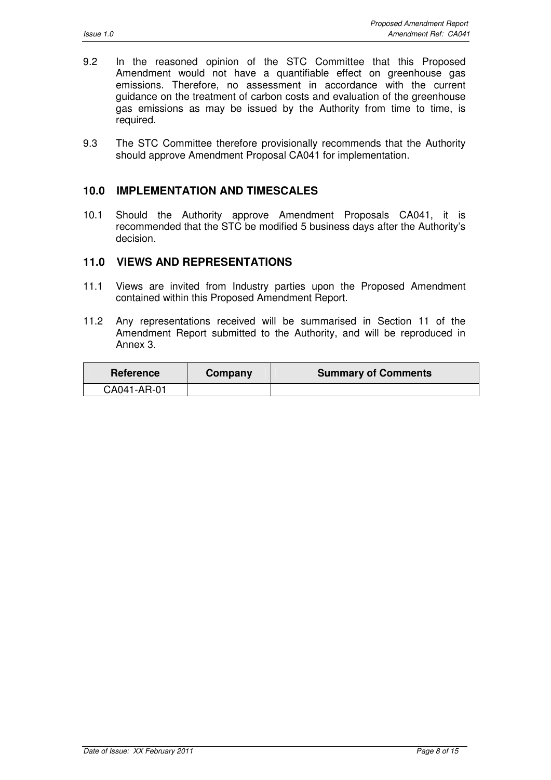- 9.2 In the reasoned opinion of the STC Committee that this Proposed Amendment would not have a quantifiable effect on greenhouse gas emissions. Therefore, no assessment in accordance with the current guidance on the treatment of carbon costs and evaluation of the greenhouse gas emissions as may be issued by the Authority from time to time, is required.
- 9.3 The STC Committee therefore provisionally recommends that the Authority should approve Amendment Proposal CA041 for implementation.

### **10.0 IMPLEMENTATION AND TIMESCALES**

10.1 Should the Authority approve Amendment Proposals CA041, it is recommended that the STC be modified 5 business days after the Authority's decision.

#### **11.0 VIEWS AND REPRESENTATIONS**

- 11.1 Views are invited from Industry parties upon the Proposed Amendment contained within this Proposed Amendment Report.
- 11.2 Any representations received will be summarised in Section 11 of the Amendment Report submitted to the Authority, and will be reproduced in Annex 3.

| <b>Reference</b> | Company | <b>Summary of Comments</b> |
|------------------|---------|----------------------------|
| CA041-AR-01      |         |                            |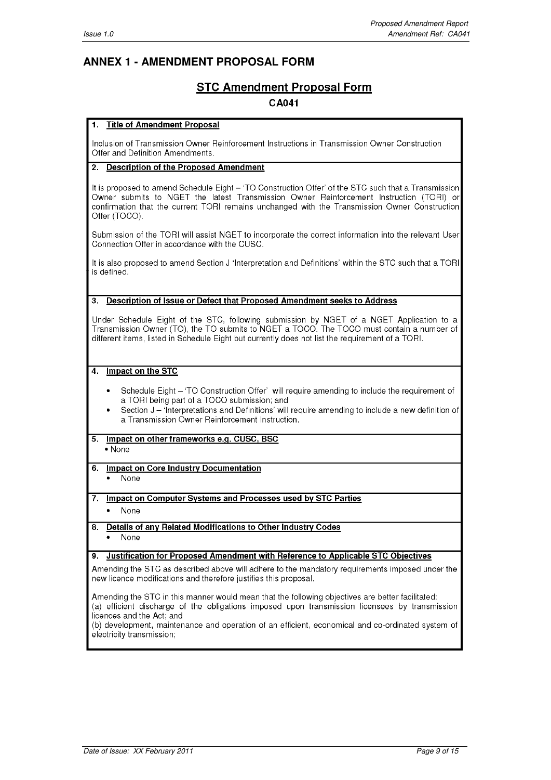# **ANNEX 1 - AMENDMENT PROPOSAL FORM**

# **STC Amendment Proposal Form**

#### **CA041**

#### **Title of Amendment Proposal** 1.

Inclusion of Transmission Owner Reinforcement Instructions in Transmission Owner Construction Offer and Definition Amendments.

#### 2. Description of the Proposed Amendment

It is proposed to amend Schedule Eight - 'TO Construction Offer' of the STC such that a Transmission Owner submits to NGET the latest Transmission Owner Reinforcement Instruction (TORI) or confirmation that the current TORI remains unchanged with the Transmission Owner Construction Offer (TOCO).

Submission of the TORI will assist NGET to incorporate the correct information into the relevant User Connection Offer in accordance with the CUSC.

It is also proposed to amend Section J 'Interpretation and Definitions' within the STC such that a TORI is defined

#### 3. Description of Issue or Defect that Proposed Amendment seeks to Address

Under Schedule Eight of the STC, following submission by NGET of a NGET Application to a Transmission Owner (TO), the TO submits to NGET a TOCO. The TOCO must contain a number of different items, listed in Schedule Eight but currently does not list the requirement of a TORI.

#### 4. Impact on the STC

- Schedule Eight 'TO Construction Offer' will require amending to include the requirement of a TORI being part of a TOCO submission; and
- Section J 'Interpretations and Definitions' will require amending to include a new definition of a Transmission Owner Reinforcement Instruction.

### 5. Impact on other frameworks e.g. CUSC, BSC

• None

6. Impact on Core Industry Documentation

None

#### 7. Impact on Computer Systems and Processes used by STC Parties

None

#### 8. Details of any Related Modifications to Other Industry Codes

None

#### 9. Justification for Proposed Amendment with Reference to Applicable STC Objectives

Amending the STC as described above will adhere to the mandatory requirements imposed under the new licence modifications and therefore justifies this proposal.

Amending the STC in this manner would mean that the following objectives are better facilitated: (a) efficient discharge of the obligations imposed upon transmission licensees by transmission licences and the Act; and

(b) development, maintenance and operation of an efficient, economical and co-ordinated system of electricity transmission: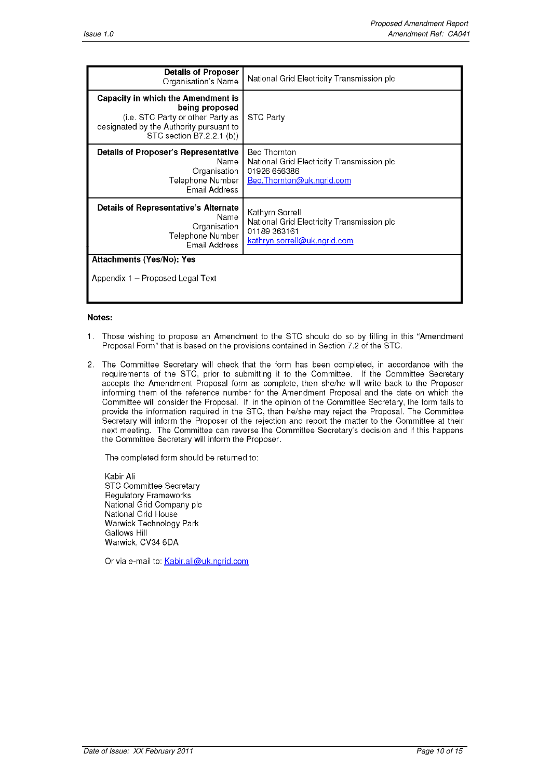| <b>Details of Proposer</b><br>Organisation's Name                                                                                                                        | National Grid Electricity Transmission plc                                                                    |  |
|--------------------------------------------------------------------------------------------------------------------------------------------------------------------------|---------------------------------------------------------------------------------------------------------------|--|
| <b>Capacity in which the Amendment is</b><br>being proposed<br>(i.e. STC Party or other Party as<br>designated by the Authority pursuant to<br>STC section B7.2.2.1 (b)) | STC Party                                                                                                     |  |
| <b>Details of Proposer's Representative</b><br>Name<br>Organisation<br>Telephone Number<br>Email Address                                                                 | Bec Thornton<br>National Grid Electricity Transmission plc<br>01926 656386<br>Bec. Thornton@uk.ngrid.com      |  |
| <b>Details of Representative's Alternate</b><br>Name<br>Organisation<br>Telephone Number<br>Email Address                                                                | Kathyrn Sorrell<br>National Grid Electricity Transmission plc<br>01189 363161<br>kathryn.sorrell@uk.ngrid.com |  |
| Attachments (Yes/No): Yes                                                                                                                                                |                                                                                                               |  |
| Appendix 1 – Proposed Legal Text                                                                                                                                         |                                                                                                               |  |

#### Notes:

- 1. Those wishing to propose an Amendment to the STC should do so by filling in this "Amendment Proposal Form" that is based on the provisions contained in Section 7.2 of the STC.
- 2. The Committee Secretary will check that the form has been completed, in accordance with the requirements of the STC, prior to submitting it to the Committee. If the Committee Secretary accepts the Amendment Proposal form as complete, then she/he will write back to the Proposer informing them of the reference number for the Amendment Proposal and the date on which the Committee will consider the Proposal. If, in the opinion of the Committee Secretary, the form fails to provide the information required in the STC, then he/she may reject the Proposal. The Committee Secretary will inform the Proposer of the rejection and report the matter to the Committee at their next meeting. The Committee can reverse the Committee Secretary's decision and if this happens the Committee Secretary will inform the Proposer.

The completed form should be returned to:

Kabir Ali **STC Committee Secretary** Regulatory Frameworks National Grid Company plc National Grid House Warwick Technology Park **Gallows Hill** Warwick, CV34 6DA

Or via e-mail to: Kabir.ali@uk.ngrid.com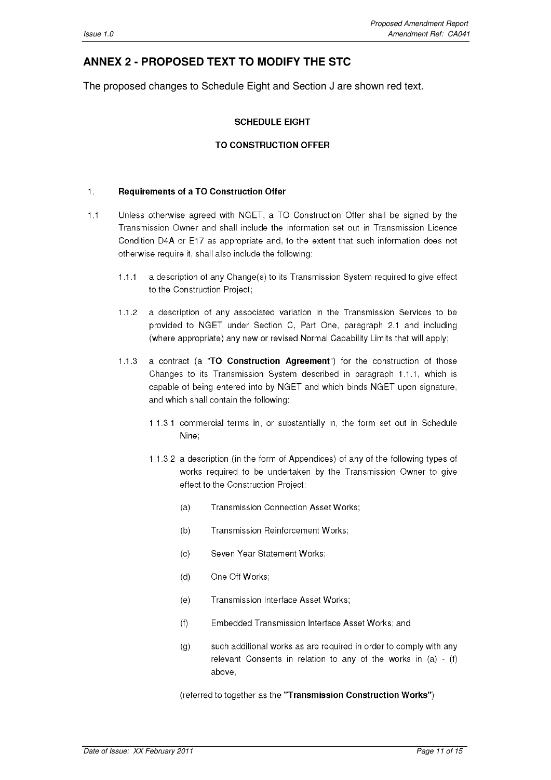# **ANNEX 2 - PROPOSED TEXT TO MODIFY THE STC**

The proposed changes to Schedule Eight and Section J are shown red text.

#### **SCHEDULE EIGHT**

#### **TO CONSTRUCTION OFFER**

#### $\mathbf{1}$ . **Requirements of a TO Construction Offer**

- Unless otherwise agreed with NGET, a TO Construction Offer shall be signed by the  $1.1$ Transmission Owner and shall include the information set out in Transmission Licence Condition D4A or E17 as appropriate and, to the extent that such information does not otherwise require it, shall also include the following:
	- $1.1.1$ a description of any Change(s) to its Transmission System required to give effect to the Construction Project;
	- $1.1.2$ a description of any associated variation in the Transmission Services to be provided to NGET under Section C, Part One, paragraph 2.1 and including (where appropriate) any new or revised Normal Capability Limits that will apply;
	- $1.1.3$ a contract (a "TO Construction Agreement") for the construction of those Changes to its Transmission System described in paragraph 1.1.1, which is capable of being entered into by NGET and which binds NGET upon signature, and which shall contain the following:
		- 1.1.3.1 commercial terms in, or substantially in, the form set out in Schedule Nine;
		- 1.1.3.2 a description (in the form of Appendices) of any of the following types of works required to be undertaken by the Transmission Owner to give effect to the Construction Project:
			- **Transmission Connection Asset Works:**  $(a)$
			- $(b)$ Transmission Reinforcement Works;
			- $(c)$ Seven Year Statement Works:
			- One Off Works:  $(d)$
			- $(e)$ Transmission Interface Asset Works;
			- Embedded Transmission Interface Asset Works; and  $(f)$
			- such additional works as are required in order to comply with any  $(g)$ relevant Consents in relation to any of the works in  $(a) - (f)$ above,

(referred to together as the "Transmission Construction Works")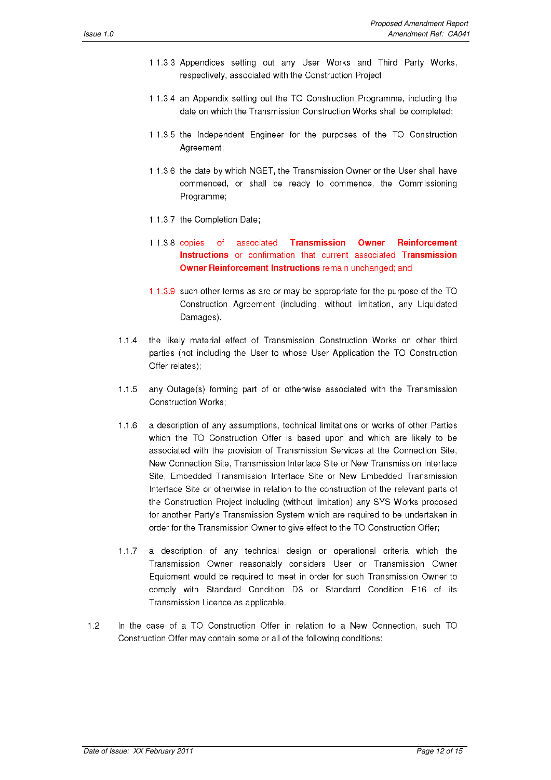- 1.1.3.3 Appendices setting out any User Works and Third Party Works, respectively, associated with the Construction Project;
- 1.1.3.4 an Appendix setting out the TO Construction Programme, including the date on which the Transmission Construction Works shall be completed;
- 1.1.3.5 the Independent Engineer for the purposes of the TO Construction Agreement;
- 1.1.3.6 the date by which NGET, the Transmission Owner or the User shall have commenced, or shall be ready to commence, the Commissioning Programme;
- 1.1.3.7 the Completion Date:
- 1.1.3.8 copies of associated **Transmission** Owner **Reinforcement** Instructions or confirmation that current associated Transmission Owner Reinforcement Instructions remain unchanged; and
- 1.1.3.9 such other terms as are or may be appropriate for the purpose of the TO Construction Agreement (including, without limitation, any Liquidated Damages).
- $1.1.4$ the likely material effect of Transmission Construction Works on other third parties (not including the User to whose User Application the TO Construction Offer relates);
- $1.1.5$ any Outage(s) forming part of or otherwise associated with the Transmission **Construction Works:**
- a description of any assumptions, technical limitations or works of other Parties  $1.1.6$ which the TO Construction Offer is based upon and which are likely to be associated with the provision of Transmission Services at the Connection Site. New Connection Site. Transmission Interface Site or New Transmission Interface Site, Embedded Transmission Interface Site or New Embedded Transmission Interface Site or otherwise in relation to the construction of the relevant parts of the Construction Project including (without limitation) any SYS Works proposed for another Party's Transmission System which are required to be undertaken in order for the Transmission Owner to give effect to the TO Construction Offer;
- $1.1.7$ a description of any technical design or operational criteria which the Transmission Owner reasonably considers User or Transmission Owner Equipment would be required to meet in order for such Transmission Owner to comply with Standard Condition D3 or Standard Condition E16 of its Transmission Licence as applicable.
- $1.2$ In the case of a TO Construction Offer in relation to a New Connection, such TO Construction Offer may contain some or all of the following conditions: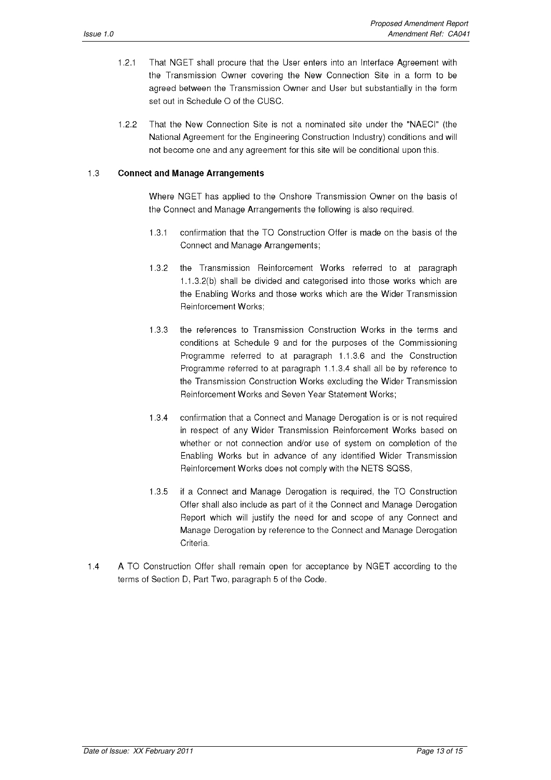- That NGET shall procure that the User enters into an Interface Agreement with  $1.2.1$ the Transmission Owner covering the New Connection Site in a form to be agreed between the Transmission Owner and User but substantially in the form set out in Schedule O of the CUSC.
- $1.2.2$ That the New Connection Site is not a nominated site under the "NAECI" (the National Agreement for the Engineering Construction Industry) conditions and will not become one and any agreement for this site will be conditional upon this.

#### $1.3$ **Connect and Manage Arrangements**

Where NGET has applied to the Onshore Transmission Owner on the basis of the Connect and Manage Arrangements the following is also required.

- $131$ confirmation that the TO Construction Offer is made on the basis of the Connect and Manage Arrangements;
- $1.3.2$ the Transmission Reinforcement Works referred to at paragraph 1.1.3.2(b) shall be divided and categorised into those works which are the Enabling Works and those works which are the Wider Transmission **Reinforcement Works:**
- $1.3.3$ the references to Transmission Construction Works in the terms and conditions at Schedule 9 and for the purposes of the Commissioning Programme referred to at paragraph 1.1.3.6 and the Construction Programme referred to at paragraph 1.1.3.4 shall all be by reference to the Transmission Construction Works excluding the Wider Transmission Reinforcement Works and Seven Year Statement Works;
- $1.3.4$ confirmation that a Connect and Manage Derogation is or is not required in respect of any Wider Transmission Reinforcement Works based on whether or not connection and/or use of system on completion of the Enabling Works but in advance of any identified Wider Transmission Reinforcement Works does not comply with the NETS SQSS,
- $1.3.5$ if a Connect and Manage Derogation is required, the TO Construction Offer shall also include as part of it the Connect and Manage Derogation Report which will justify the need for and scope of any Connect and Manage Derogation by reference to the Connect and Manage Derogation Criteria.
- $1.4$ A TO Construction Offer shall remain open for acceptance by NGET according to the terms of Section D, Part Two, paragraph 5 of the Code.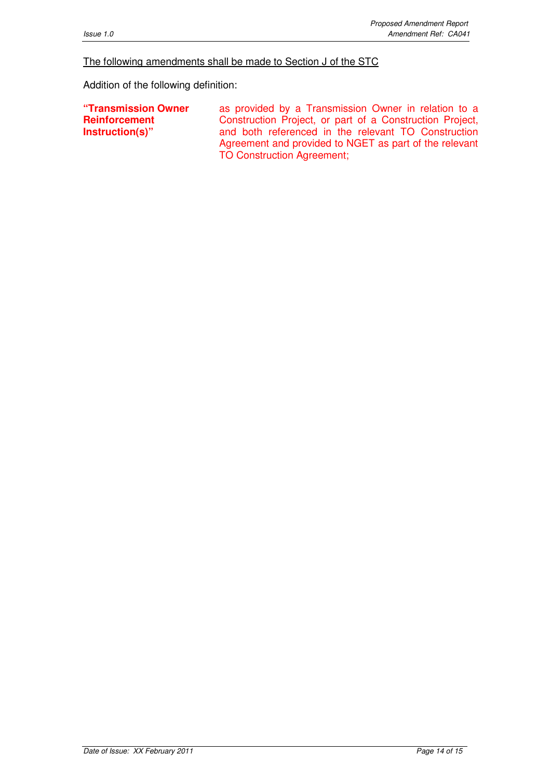#### The following amendments shall be made to Section J of the STC

Addition of the following definition:

**"Transmission Owner Reinforcement Instruction(s)"** 

as provided by a Transmission Owner in relation to a Construction Project, or part of a Construction Project, and both referenced in the relevant TO Construction Agreement and provided to NGET as part of the relevant TO Construction Agreement;